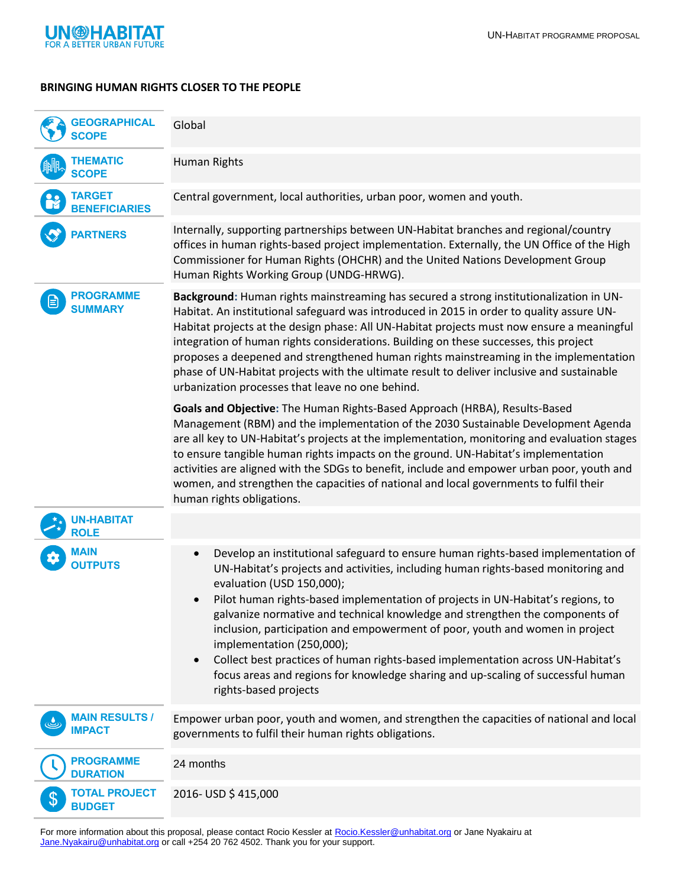

## **BRINGING HUMAN RIGHTS CLOSER TO THE PEOPLE**

| <b>GEOGRAPHICAL</b><br><b>SCOPE</b>    | Global                                                                                                                                                                                                                                                                                                                                                                                                                                                                                                                                                                                                                                                                                                        |
|----------------------------------------|---------------------------------------------------------------------------------------------------------------------------------------------------------------------------------------------------------------------------------------------------------------------------------------------------------------------------------------------------------------------------------------------------------------------------------------------------------------------------------------------------------------------------------------------------------------------------------------------------------------------------------------------------------------------------------------------------------------|
| <b>THEMATIC</b><br><b>SCOPE</b>        | <b>Human Rights</b>                                                                                                                                                                                                                                                                                                                                                                                                                                                                                                                                                                                                                                                                                           |
| <b>TARGET</b><br><b>BENEFICIARIES</b>  | Central government, local authorities, urban poor, women and youth.                                                                                                                                                                                                                                                                                                                                                                                                                                                                                                                                                                                                                                           |
| <b>PARTNERS</b>                        | Internally, supporting partnerships between UN-Habitat branches and regional/country<br>offices in human rights-based project implementation. Externally, the UN Office of the High<br>Commissioner for Human Rights (OHCHR) and the United Nations Development Group<br>Human Rights Working Group (UNDG-HRWG).                                                                                                                                                                                                                                                                                                                                                                                              |
| <b>PROGRAMME</b><br><b>SUMMARY</b>     | Background: Human rights mainstreaming has secured a strong institutionalization in UN-<br>Habitat. An institutional safeguard was introduced in 2015 in order to quality assure UN-<br>Habitat projects at the design phase: All UN-Habitat projects must now ensure a meaningful<br>integration of human rights considerations. Building on these successes, this project<br>proposes a deepened and strengthened human rights mainstreaming in the implementation<br>phase of UN-Habitat projects with the ultimate result to deliver inclusive and sustainable<br>urbanization processes that leave no one behind.                                                                                        |
|                                        | Goals and Objective: The Human Rights-Based Approach (HRBA), Results-Based<br>Management (RBM) and the implementation of the 2030 Sustainable Development Agenda<br>are all key to UN-Habitat's projects at the implementation, monitoring and evaluation stages<br>to ensure tangible human rights impacts on the ground. UN-Habitat's implementation<br>activities are aligned with the SDGs to benefit, include and empower urban poor, youth and<br>women, and strengthen the capacities of national and local governments to fulfil their<br>human rights obligations.                                                                                                                                   |
| <b>UN-HABITAT</b><br><b>ROLE</b>       |                                                                                                                                                                                                                                                                                                                                                                                                                                                                                                                                                                                                                                                                                                               |
| MAIN<br><b>OUTPUTS</b>                 | Develop an institutional safeguard to ensure human rights-based implementation of<br>$\bullet$<br>UN-Habitat's projects and activities, including human rights-based monitoring and<br>evaluation (USD 150,000);<br>Pilot human rights-based implementation of projects in UN-Habitat's regions, to<br>galvanize normative and technical knowledge and strengthen the components of<br>inclusion, participation and empowerment of poor, youth and women in project<br>implementation (250,000);<br>Collect best practices of human rights-based implementation across UN-Habitat's<br>$\bullet$<br>focus areas and regions for knowledge sharing and up-scaling of successful human<br>rights-based projects |
| <b>MAIN RESULTS /</b><br><b>IMPACT</b> | Empower urban poor, youth and women, and strengthen the capacities of national and local<br>governments to fulfil their human rights obligations.                                                                                                                                                                                                                                                                                                                                                                                                                                                                                                                                                             |
| <b>PROGRAMME</b><br><b>DURATION</b>    | 24 months                                                                                                                                                                                                                                                                                                                                                                                                                                                                                                                                                                                                                                                                                                     |
| <b>TOTAL PROJECT</b><br><b>BUDGET</b>  | 2016- USD \$415,000                                                                                                                                                                                                                                                                                                                                                                                                                                                                                                                                                                                                                                                                                           |

For more information about this proposal, please contact Rocio Kessler at [Rocio.Kessler@unhabitat.org](mailto:Rocio.Kessler@unhabitat.org) or Jane Nyakairu at [Jane.Nyakairu@unhabitat.org](mailto:Jane.Nyakairu@unhabitat.org) or call +254 20 762 4502. Thank you for your support.